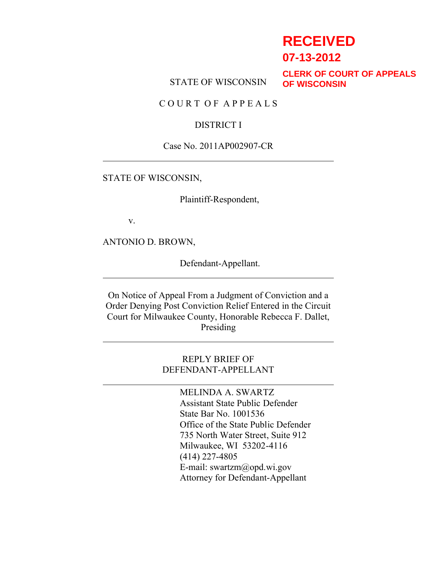# **RECEIVED**

**07-13-2012**

STATE OF WISCONSIN

**CLERK OF COURT OF APPEALS OF WISCONSIN**

C O U R T O F A P P E A L S

#### DISTRICT I

#### Case No. 2011AP002907-CR

STATE OF WISCONSIN,

Plaintiff-Respondent,

v.

ANTONIO D. BROWN,

Defendant-Appellant.

On Notice of Appeal From a Judgment of Conviction and a Order Denying Post Conviction Relief Entered in the Circuit Court for Milwaukee County, Honorable Rebecca F. Dallet, Presiding

> REPLY BRIEF OF DEFENDANT-APPELLANT

> > MELINDA A. SWARTZ Assistant State Public Defender State Bar No. 1001536 Office of the State Public Defender 735 North Water Street, Suite 912 Milwaukee, WI 53202-4116 (414) 227-4805 E-mail: swartzm@opd.wi.gov Attorney for Defendant-Appellant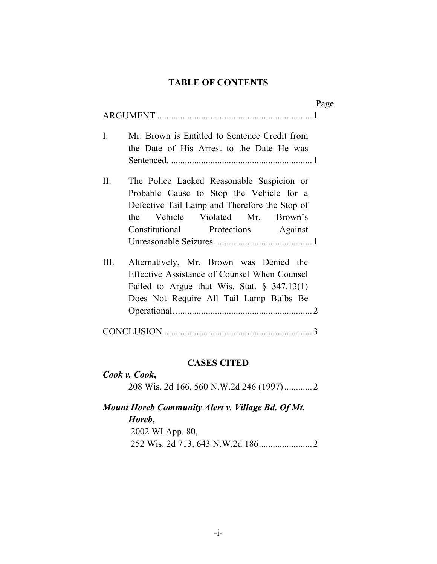### **TABLE OF CONTENTS**

|                                                                                                                                                                                                                             | Page |
|-----------------------------------------------------------------------------------------------------------------------------------------------------------------------------------------------------------------------------|------|
| $\mathbf{I}$ .<br>Mr. Brown is Entitled to Sentence Credit from<br>the Date of His Arrest to the Date He was                                                                                                                |      |
| $\Pi$ .<br>The Police Lacked Reasonable Suspicion or<br>Probable Cause to Stop the Vehicle for a<br>Defective Tail Lamp and Therefore the Stop of<br>the Vehicle Violated Mr. Brown's<br>Constitutional Protections Against |      |
| III.<br>Alternatively, Mr. Brown was Denied the<br>Effective Assistance of Counsel When Counsel<br>Failed to Argue that Wis. Stat. $\S$ 347.13(1)<br>Does Not Require All Tail Lamp Bulbs Be                                |      |
| 3                                                                                                                                                                                                                           |      |

### **CASES CITED**

| Cook v. Cook, |  |
|---------------|--|
|               |  |

# *Mount Horeb Community Alert v. Village Bd. Of Mt. Horeb*, 2002 WI App. 80, 252 Wis. 2d 713, 643 N.W.2d 186....................... 2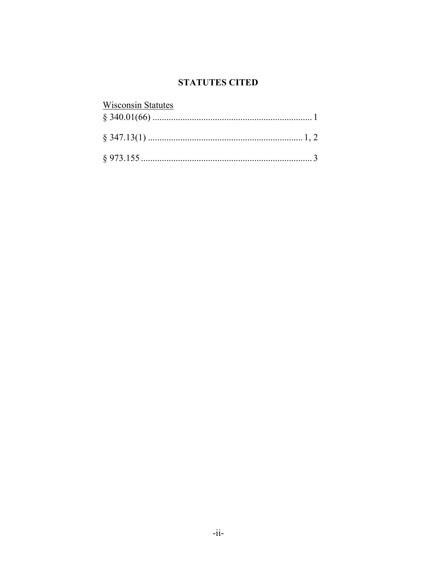### **STATUTES CITED**

| <b>Wisconsin Statutes</b> |  |
|---------------------------|--|
|                           |  |
|                           |  |
|                           |  |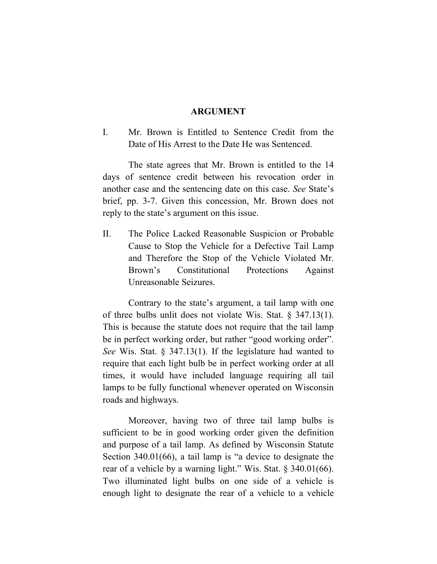#### **ARGUMENT**

I. Mr. Brown is Entitled to Sentence Credit from the Date of His Arrest to the Date He was Sentenced.

The state agrees that Mr. Brown is entitled to the 14 days of sentence credit between his revocation order in another case and the sentencing date on this case. *See* State's brief, pp. 3-7. Given this concession, Mr. Brown does not reply to the state's argument on this issue.

II. The Police Lacked Reasonable Suspicion or Probable Cause to Stop the Vehicle for a Defective Tail Lamp and Therefore the Stop of the Vehicle Violated Mr. Brown's Constitutional Protections Against Unreasonable Seizures.

Contrary to the state's argument, a tail lamp with one of three bulbs unlit does not violate Wis. Stat. § 347.13(1). This is because the statute does not require that the tail lamp be in perfect working order, but rather "good working order". *See* Wis. Stat. § 347.13(1). If the legislature had wanted to require that each light bulb be in perfect working order at all times, it would have included language requiring all tail lamps to be fully functional whenever operated on Wisconsin roads and highways.

Moreover, having two of three tail lamp bulbs is sufficient to be in good working order given the definition and purpose of a tail lamp. As defined by Wisconsin Statute Section 340.01(66), a tail lamp is "a device to designate the rear of a vehicle by a warning light." Wis. Stat. § 340.01(66). Two illuminated light bulbs on one side of a vehicle is enough light to designate the rear of a vehicle to a vehicle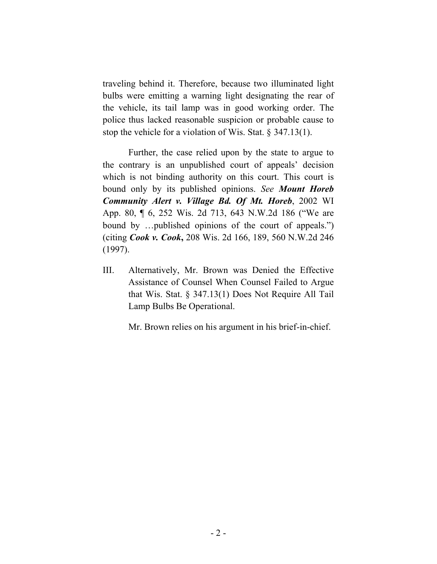traveling behind it. Therefore, because two illuminated light bulbs were emitting a warning light designating the rear of the vehicle, its tail lamp was in good working order. The police thus lacked reasonable suspicion or probable cause to stop the vehicle for a violation of Wis. Stat. § 347.13(1).

Further, the case relied upon by the state to argue to the contrary is an unpublished court of appeals' decision which is not binding authority on this court. This court is bound only by its published opinions. *See Mount Horeb Community Alert v. Village Bd. Of Mt. Horeb*, 2002 WI App. 80, ¶ 6, 252 Wis. 2d 713, 643 N.W.2d 186 ("We are bound by …published opinions of the court of appeals.") (citing *Cook v. Cook***,** 208 Wis. 2d 166, 189, 560 N.W.2d 246 (1997).

III. Alternatively, Mr. Brown was Denied the Effective Assistance of Counsel When Counsel Failed to Argue that Wis. Stat. § 347.13(1) Does Not Require All Tail Lamp Bulbs Be Operational.

Mr. Brown relies on his argument in his brief-in-chief.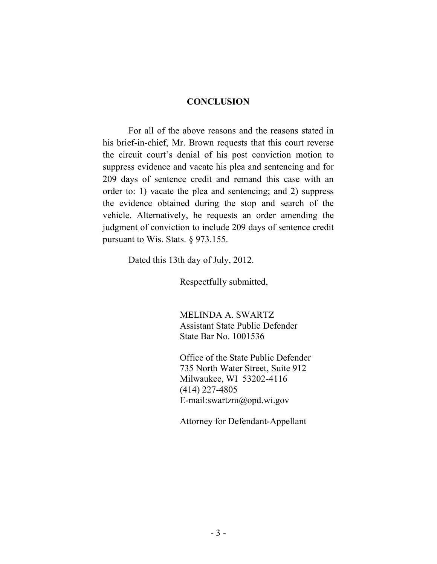#### **CONCLUSION**

For all of the above reasons and the reasons stated in his brief-in-chief, Mr. Brown requests that this court reverse the circuit court's denial of his post conviction motion to suppress evidence and vacate his plea and sentencing and for 209 days of sentence credit and remand this case with an order to: 1) vacate the plea and sentencing; and 2) suppress the evidence obtained during the stop and search of the vehicle. Alternatively, he requests an order amending the judgment of conviction to include 209 days of sentence credit pursuant to Wis. Stats. § 973.155.

Dated this 13th day of July, 2012.

Respectfully submitted,

MELINDA A. SWARTZ Assistant State Public Defender State Bar No. 1001536

Office of the State Public Defender 735 North Water Street, Suite 912 Milwaukee, WI 53202-4116 (414) 227-4805 E-mail:swartzm@opd.wi.gov

Attorney for Defendant-Appellant